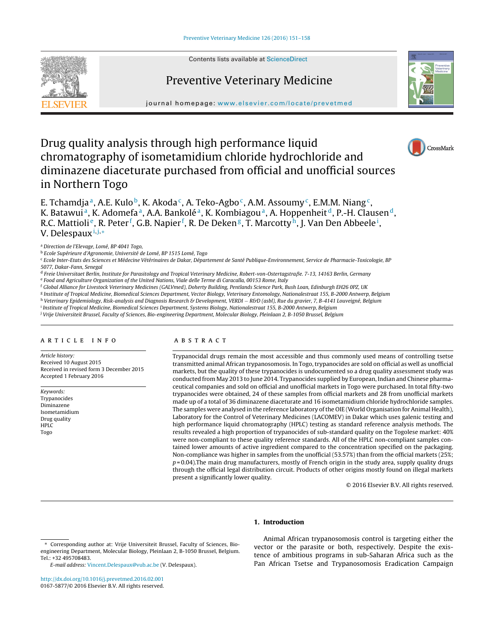Contents lists available at [ScienceDirect](http://www.sciencedirect.com/science/journal/01675877)

# Preventive Veterinary Medicine



# Drug quality analysis through high performance liquid chromatography of isometamidium chloride hydrochloride and diminazene diaceturate purchased from official and unofficial sources in Northern Togo

E. Tchamdja<sup>a</sup>, A.E. Kulo<sup>b</sup>, K. Akoda<sup>c</sup>, A. Teko-Agbo<sup>c</sup>, A.M. Assoumy<sup>c</sup>, E.M.M. Niang<sup>c</sup>. K. Batawui<sup>a</sup>, K. Adomefa<sup>a</sup>, A.A. Bankolé<sup>a</sup>, K. Kombiagou<sup>a</sup>, A. Hoppenheit<sup>d</sup>, P.-H. Clausen<sup>d</sup>, R.C. Mattioli<sup>e</sup>, R. Peter<sup>f</sup>, G.B. Napier<sup>f</sup>, R. De Deken<sup>g</sup>, T. Marcotty<sup>h</sup>, J. Van Den Abbeele<sup>i</sup>, V. Delespaux<sup>i,j,∗</sup>

<sup>a</sup> Direction de l'Elevage, Lomé, BP 4041 Togo,

<sup>b</sup> Ecole Supérieure d'Agronomie, Université de Lomé, BP 1515 Lomé, Togo

<sup>c</sup> Ecole Inter-Etats des Sciences et Médecine Vétérinaires de Dakar, Département de Santé Publique-Environnement, Service de Pharmacie-Toxicologie, BP 5077, Dakar-Fann, Senegal

<sup>d</sup> Freie Universitaet Berlin, Institute for Parasitology and Tropical Veterinary Medicine, Robert-von-Ostertagstraße. 7-13, 14163 Berlin, Germany

<sup>e</sup> Food and Agriculture Organization of the United Nations, Viale delle Terme di Caracalla, 00153 Rome, Italy

<sup>f</sup> Global Alliance for Livestock Veterinary Medicines (GALVmed), Doherty Building, Pentlands Science Park, Bush Loan, Edinburgh EH26 0PZ, UK

<sup>g</sup> Institute of Tropical Medicine, Biomedical Sciences Department, Vector Biology, Veterinary Entomology, Nationalestraat 155, B-2000 Antwerp, Belgium

h Veterinary Epidemiology, Risk-analysis and Diagnosis Research & Development, VERDI – R&D (asbl), Rue du gravier, 7, B-4141 Louveigné, Belgium<br><sup>i</sup> Institute of Tropical Medicine, Biomedical Sciences Department, Systems Bi

<sup>j</sup> Vrije Universiteit Brussel, Faculty of Sciences, Bio-engineering Department, Molecular Biology, Pleinlaan 2, B-1050 Brussel, Belgium

# a r t i c l e i n f o

Article history: Received 10 August 2015 Received in revised form 3 December 2015 Accepted 1 February 2016

Keywords: Trypanocides Diminazene Isometamidium Drug quality HPLC Togo

# a b s t r a c t

Trypanocidal drugs remain the most accessible and thus commonly used means of controlling tsetse transmitted animal African trypanosomosis. In Togo, trypanocides are sold on official as well as unofficial markets, but the quality of these trypanocides is undocumented so a drug quality assessment study was conducted from May 2013 to June 2014. Trypanocides supplied by European, Indian and Chinese pharmaceutical companies and sold on official and unofficial markets in Togo were purchased. In total fifty-two trypanocides were obtained, 24 of these samples from official markets and 28 from unofficial markets made up of a total of 36 diminazene diaceturate and 16 isometamidium chloride hydrochloride samples. The samples were analysed in the reference laboratory of the OIE (World Organisation for Animal Health), Laboratory for the Control of Veterinary Medicines (LACOMEV) in Dakar which uses galenic testing and high performance liquid chromatography (HPLC) testing as standard reference analysis methods. The results revealed a high proportion of trypanocides of sub-standard quality on the Togolese market: 40% were non-compliant to these quality reference standards. All of the HPLC non-compliant samples contained lower amounts of active ingredient compared to the concentration specified on the packaging. Non-compliance was higher in samples from the unofficial (53.57%) than from the official markets (25%;  $p = 0.04$ ). The main drug manufacturers, mostly of French origin in the study area, supply quality drugs through the official legal distribution circuit. Products of other origins mostly found on illegal markets present a significantly lower quality.

© 2016 Elsevier B.V. All rights reserved.

#### **1. Introduction**

[http://dx.doi.org/10.1016/j.prevetmed.2016.02.001](dx.doi.org/10.1016/j.prevetmed.2016.02.001) 0167-5877/© 2016 Elsevier B.V. All rights reserved.

Animal African trypanosomosis control is targeting either the vector or the parasite or both, respectively. Despite the existence of ambitious programs in sub-Saharan Africa such as the Pan African Tsetse and Trypanosomosis Eradication Campaign



<sup>∗</sup> Corresponding author at: Vrije Universiteit Brussel, Faculty of Sciences, Bioengineering Department, Molecular Biology, Pleinlaan 2, B-1050 Brussel, Belgium. Tel.: +32 495708483.

E-mail address: [Vincent.Delespaux@vub.ac.be](mailto:Vincent.Delespaux@vub.ac.be) (V. Delespaux).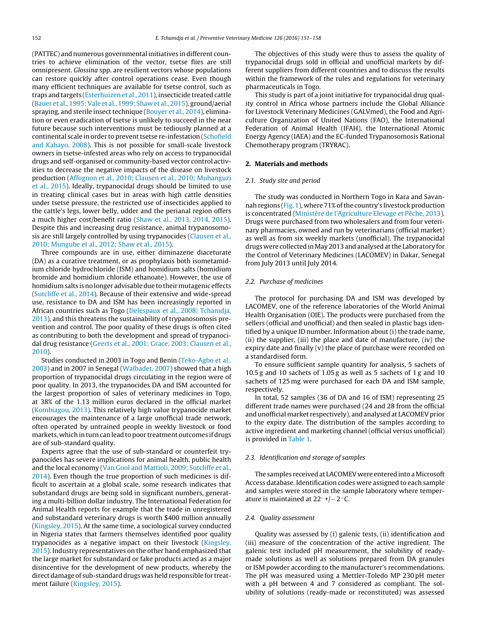(PATTEC) and numerous governmental initiatives in different countries to achieve elimination of the vector, tsetse flies are still omnipresent. Glossina spp. are resilient vectors whose populations can restore quickly after control operations cease. Even though many efficient techniques are available for tsetse control, such as traps and targets (Esterhuizen et [al.,](#page-6-0) [2011\),](#page-6-0) insecticide treated cattle ([Bauer](#page-6-0) et [al.,](#page-6-0) 1995; Vale et al., [1999;](#page-6-0) [Shaw](#page-6-0) et al., [2015\),](#page-6-0) ground/aerial spraying, and sterile insect technique [\(Bouyer](#page-6-0) et [al.,](#page-6-0) [2014\),](#page-6-0) elimination or even eradication of tsetse is unlikely to succeed in the near future because such interventions must be tediously planned at a continental scale in order to prevent tsetse re-infestation [\(Schofield](#page-6-0) [and](#page-6-0) [Kabayo,](#page-6-0) [2008\).](#page-6-0) This is not possible for small-scale livestock owners in tsetse-infested areas who rely on access to trypanocidal drugs and self-organised or community-based vector control activities to decrease the negative impacts of the disease on livestock production [\(Affognon](#page-6-0) et [al.,](#page-6-0) [2010;](#page-6-0) [Clausen](#page-6-0) et [al.,](#page-6-0) [2010;](#page-6-0) [Muhanguzi](#page-6-0) et [al.,](#page-6-0) [2015\).](#page-6-0) Ideally, trypanocidal drugs should be limited to use in treating clinical cases but in areas with high cattle densities under tsetse pressure, the restricted use of insecticides applied to the cattle's legs, lower belly, udder and the perianal region offers a much higher cost/benefit ratio ([Shaw](#page-6-0) et [al.,](#page-6-0) [2013,](#page-6-0) [2014,](#page-6-0) [2015\).](#page-6-0) Despite this and increasing drug resistance, animal trypanosomosis are still largely controlled by using trypanocides ([Clausen](#page-6-0) et [al.,](#page-6-0) [2010;](#page-6-0) [Mungube](#page-6-0) et [al.,](#page-6-0) [2012;](#page-6-0) [Shaw](#page-6-0) et [al.,](#page-6-0) [2015\).](#page-6-0)

Three compounds are in use, either diminazene diaceturate (DA) as a curative treatment, or as prophylaxis both isometamidium chloride hydrochloride (ISM) and homidium salts (homidium bromide and homidium chloride ethanoate). However, the use of homidium salts is no longer advisable due to their mutagenic effects ([Sutcliffe](#page-6-0) et [al.,](#page-6-0) [2014\).](#page-6-0) Because of their extensive and wide-spread use, resistance to DA and ISM has been increasingly reported in African countries such as Togo ([Delespaux](#page-6-0) et [al.,](#page-6-0) [2008;](#page-6-0) [Tchamdja,](#page-6-0) [2013\),](#page-6-0) and this threatens the sustainability of trypanosomosis prevention and control. The poor quality of these drugs is often cited as contributing to both the development and spread of trypanocidal drug resistance ([Geerts](#page-6-0) et [al.,](#page-6-0) [2001;](#page-6-0) [Grace,](#page-6-0) [2003;](#page-6-0) [Clausen](#page-6-0) et [al.,](#page-6-0) [2010\).](#page-6-0)

Studies conducted in 2003 in Togo and Benin [\(Teko-Agbo](#page-7-0) et [al.,](#page-7-0) [2003\)](#page-7-0) and in 2007 in Senegal [\(Walbadet,](#page-7-0) [2007\)](#page-7-0) showed that a high proportion of trypanocidal drugs circulating in the region were of poor quality. In 2013, the trypanocides DA and ISM accounted for the largest proportion of sales of veterinary medicines in Togo, at 38% of the 1.13 million euros declared in the official market ([Kombiagou,](#page-6-0) [2013\).](#page-6-0) This relatively high value trypanocide market encourages the maintenance of a large unofficial trade network, often operated by untrained people in weekly livestock or food markets, which in turn can lead to poor treatment outcomes if drugs are of sub-standard quality.

Experts agree that the use of sub-standard or counterfeit trypanocides has severe implications for animal health, public health and the local economy [\(Van](#page-7-0) [Gool](#page-7-0) [and](#page-7-0) [Mattioli,](#page-7-0) [2009;](#page-7-0) [Sutcliffe](#page-7-0) et [al.,](#page-7-0) [2014\).](#page-7-0) Even though the true proportion of such medicines is difficult to ascertain at a global scale, some research indicates that substandard drugs are being sold in significant numbers, generating a multi-billion dollar industry. The International Federation for Animal Health reports for example that the trade in unregistered and substandard veterinary drugs is worth \$400 million annually ([Kingsley,](#page-6-0) [2015\).](#page-6-0) At the same time, a sociological survey conducted in Nigeria states that farmers themselves identified poor quality trypanocides as a negative impact on their livestock [\(Kingsley,](#page-6-0) [2015\).](#page-6-0) Industry representatives on the other hand emphasized that the large market for substandard or fake products acted as a major disincentive for the development of new products, whereby the direct damage of sub-standard drugs was held responsible for treatment failure [\(Kingsley,](#page-6-0) [2015\).](#page-6-0)

The objectives of this study were thus to assess the quality of trypanocidal drugs sold in official and unofficial markets by different suppliers from different countries and to discuss the results within the framework of the rules and regulations for veterinary pharmaceuticals in Togo.

This study is part of a joint initiative for trypanocidal drug quality control in Africa whose partners include the Global Alliance for Livestock Veterinary Medicines (GALVmed), the Food and Agriculture Organization of United Nations (FAO), the International Federation of Animal Health (IFAH), the International Atomic Energy Agency (IAEA) and the EC-funded Trypanosomosis Rational Chemotherapy program (TRYRAC).

# **2. Materials and methods**

#### 2.1. Study site and period

The study was conducted in Northern Togo in Kara and Savan-nah regions ([Fig.](#page-2-0) 1), where 71% of the country's livestock production is concentrated [\(Ministère](#page-6-0) [de](#page-6-0) [l'Agriculture](#page-6-0) [Elevage](#page-6-0) [et](#page-6-0) [Pêche,](#page-6-0) [2013\).](#page-6-0) Drugs were purchased from two wholesalers and from four veterinary pharmacies, owned and run by veterinarians (official market) as well as from six weekly markets (unofficial). The trypanocidal drugs were collected in May 2013 and analysed at the Laboratory for the Control of Veterinary Medicines (LACOMEV) in Dakar, Senegal from July 2013 until July 2014.

# 2.2. Purchase of medicines

The protocol for purchasing DA and ISM was developed by LACOMEV, one of the reference laboratories of the World Animal Health Organisation (OIE). The products were purchased from the sellers (official and unofficial) and then sealed in plastic bags identified by a unique ID number. Information about (i) the trade name, (ii) the supplier, (iii) the place and date of manufacture, (iv) the expiry date and finally (v) the place of purchase were recorded on a standardised form.

To ensure sufficient sample quantity for analysis, 5 sachets of 10.5 g and 10 sachets of 1.05 g as well as 5 sachets of 1 g and 10 sachets of 125 mg were purchased for each DA and ISM sample, respectively.

In total, 52 samples (36 of DA and 16 of ISM) representing 25 different trade names were purchased (24 and 28 from the official and unofficial market respectively), and analysed at LACOMEV prior to the expiry date. The distribution of the samples according to active ingredient and marketing channel (official versus unofficial) is provided in [Table](#page-2-0) 1.

#### 2.3. Identification and storage of samples

The samples received at LACOMEV were entered into aMicrosoft Access database. Identification codes were assigned to each sample and samples were stored in the sample laboratory where temperature is maintained at 22◦ +/− 2 ◦C.

## 2.4. Quality assessment

Quality was assessed by (i) galenic tests, (ii) identification and (iii) measure of the concentration of the active ingredient. The galenic test included pH measurement, the solubility of readymade solutions as well as solutions prepared from DA granules or ISM powder according to the manufacturer's recommendations. The pH was measured using a Mettler-Toledo MP 230 pH meter with a pH between 4 and 7 considered as compliant. The solubility of solutions (ready-made or reconstituted) was assessed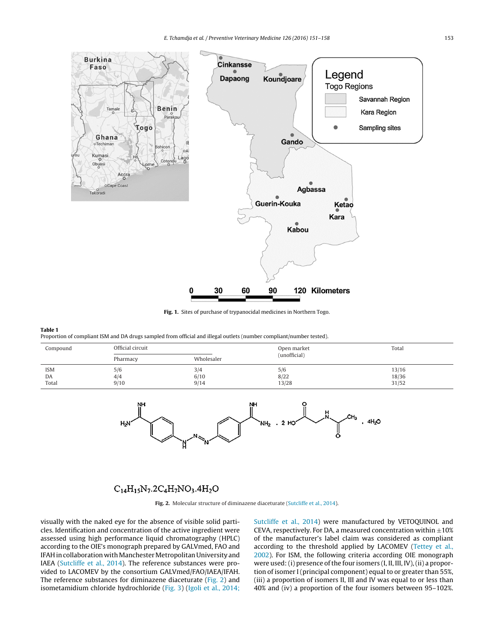<span id="page-2-0"></span>

**Fig. 1.** Sites of purchase of trypanocidal medicines in Northern Togo.

# **Table 1** Proportion of compliant ISM and DA drugs sampled from official and illegal outlets (number compliant/number tested).

| Compound   | Official circuit |            | Open market  | Total |
|------------|------------------|------------|--------------|-------|
|            | Pharmacy         | Wholesaler | (unofficial) |       |
| <b>ISM</b> | 5/6              | 3/4        | 5/6          | 13/16 |
| DA         | 4/4              | 6/10       | 8/22         | 18/36 |
| Total      | 9/10             | 9/14       | 13/28        | 31/52 |



# $C_{14}H_{15}N_7.2C_4H_7NO_3.4H_2O$

**Fig. 2.** Molecular structure of diminazene diaceturate [\(Sutcliffe](#page-6-0) et [al.,](#page-6-0) [2014\).](#page-6-0)

visually with the naked eye for the absence of visible solid particles. Identification and concentration of the active ingredient were assessed using high performance liquid chromatography (HPLC) according to the OIE's monograph prepared by GALVmed, FAO and IFAH in collaboration with Manchester Metropolitan University and IAEA [\(Sutcliffe](#page-6-0) et [al.,](#page-6-0) [2014\).](#page-6-0) The reference substances were provided to LACOMEV by the consortium GALVmed/FAO/IAEA/IFAH. The reference substances for diminazene diaceturate (Fig. 2) and isometamidium chloride hydrochloride ([Fig.](#page-3-0) 3) [\(Igoli](#page-6-0) et [al.,](#page-6-0) [2014;](#page-6-0) [Sutcliffe](#page-6-0) et [al.,](#page-6-0) [2014\)](#page-6-0) were manufactured by VETOQUINOL and CEVA, respectively. For DA, a measured concentration within  $\pm 10\%$ of the manufacturer's label claim was considered as compliant according to the threshold applied by LACOMEV ([Tettey](#page-7-0) et [al.,](#page-7-0) [2002\).](#page-7-0) For ISM, the following criteria according OIE monograph were used: (i) presence of the four isomers (I, II, III, IV), (ii) a proportion of isomer I (principal component) equal to or greater than 55%, (iii) a proportion of isomers II, III and IV was equal to or less than 40% and (iv) a proportion of the four isomers between 95–102%.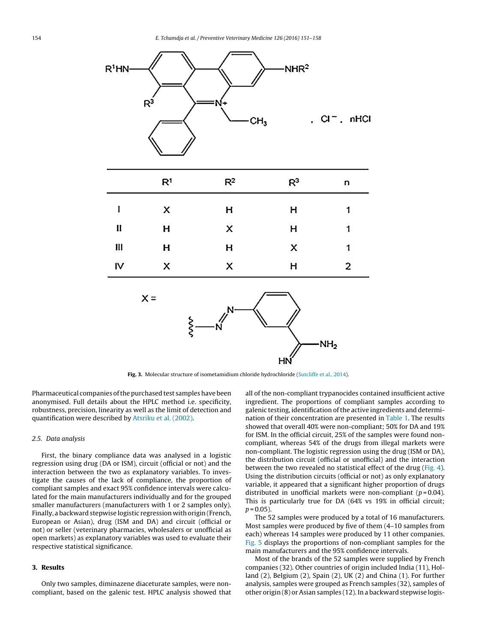<span id="page-3-0"></span>

Fig. 3. Molecular structure of isometamidium chloride hydrochloride [\(Sutcliffe](#page-6-0) et [al.,](#page-6-0) [2014\).](#page-6-0)

н

Pharmaceutical companies of the purchased test samples have been anonymised. Full details about the HPLC method i.e. specificity, robustness, precision, linearity as well as the limit of detection and quantification were described by [Atsriku](#page-6-0) et [al.](#page-6-0) [\(2002\).](#page-6-0)

# 2.5. Data analysis

First, the binary compliance data was analysed in a logistic regression using drug (DA or ISM), circuit (official or not) and the interaction between the two as explanatory variables. To investigate the causes of the lack of compliance, the proportion of compliant samples and exact 95% confidence intervals were calculated for the main manufacturers individually and for the grouped smaller manufacturers (manufacturers with 1 or 2 samples only). Finally, a backward stepwise logistic regression with origin (French, European or Asian), drug (ISM and DA) and circuit (official or not) or seller (veterinary pharmacies, wholesalers or unofficial as open markets) as explanatory variables was used to evaluate their respective statistical significance.

# **3. Results**

Only two samples, diminazene diaceturate samples, were noncompliant, based on the galenic test. HPLC analysis showed that all of the non-compliant trypanocides contained insufficient active ingredient. The proportions of compliant samples according to galenic testing, identification of the active ingredients and determination of their concentration are presented in [Table](#page-2-0) 1. The results showed that overall 40% were non-compliant; 50% for DA and 19% for ISM. In the official circuit, 25% of the samples were found noncompliant, whereas 54% of the drugs from illegal markets were non-compliant. The logistic regression using the drug (ISM or DA), the distribution circuit (official or unofficial) and the interaction between the two revealed no statistical effect of the drug ([Fig.](#page-4-0) 4). Using the distribution circuits (official or not) as only explanatory variable, it appeared that a significant higher proportion of drugs distributed in unofficial markets were non-compliant  $(p=0.04)$ . This is particularly true for DA (64% vs 19% in official circuit;  $p = 0.05$ ).

The 52 samples were produced by a total of 16 manufacturers. Most samples were produced by five of them (4–10 samples from each) whereas 14 samples were produced by 11 other companies. [Fig.](#page-4-0) 5 displays the proportions of non-compliant samples for the main manufacturers and the 95% confidence intervals.

Most of the brands of the 52 samples were supplied by French companies (32). Other countries of origin included India (11), Holland (2), Belgium (2), Spain (2), UK (2) and China (1). For further analysis, samples were grouped as French samples (32), samples of other origin (8) or Asian samples (12). In a backward stepwise logis-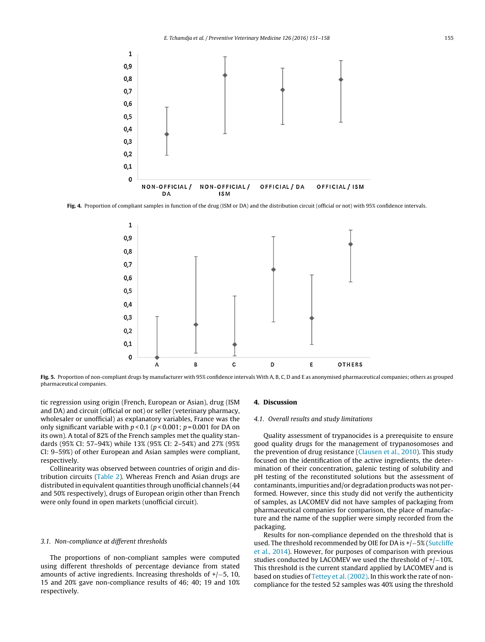<span id="page-4-0"></span>

**Fig. 4.** Proportion of compliant samples in function of the drug (ISM or DA) and the distribution circuit (official or not) with 95% confidence intervals.



**Fig. 5.** Proportion of non-compliant drugs by manufacturer with 95% confidence intervals With A, B, C, D and E as anonymised pharmaceutical companies; others as grouped pharmaceutical companies.

tic regression using origin (French, European or Asian), drug (ISM and DA) and circuit (official or not) or seller (veterinary pharmacy, wholesaler or unofficial) as explanatory variables, France was the only significant variable with  $p < 0.1$  ( $p < 0.001$ ;  $p = 0.001$  for DA on its own). A total of 82% of the French samples met the quality standards (95% CI: 57–94%) while 13% (95% CI: 2–54%) and 27% (95% CI: 9–59%) of other European and Asian samples were compliant, respectively.

Collinearity was observed between countries of origin and distribution circuits [\(Table](#page-5-0) 2). Whereas French and Asian drugs are distributed in equivalent quantities through unofficial channels (44 and 50% respectively), drugs of European origin other than French were only found in open markets (unofficial circuit).

#### 3.1. Non-compliance at different thresholds

The proportions of non-compliant samples were computed using different thresholds of percentage deviance from stated amounts of active ingredients. Increasing thresholds of +/−5, 10, 15 and 20% gave non-compliance results of 46; 40; 19 and 10% respectively.

# **4. Discussion**

#### 4.1. Overall results and study limitations

Quality assessment of trypanocides is a prerequisite to ensure good quality drugs for the management of trypanosomoses and the prevention of drug resistance ([Clausen](#page-6-0) et [al.,](#page-6-0) [2010\).](#page-6-0) This study focused on the identification of the active ingredients, the determination of their concentration, galenic testing of solubility and pH testing of the reconstituted solutions but the assessment of contaminants, impurities and/or degradation products was not performed. However, since this study did not verify the authenticity of samples, as LACOMEV did not have samples of packaging from pharmaceutical companies for comparison, the place of manufacture and the name of the supplier were simply recorded from the packaging.

Results for non-compliance depended on the threshold that is used. The threshold recommended by OIE for DA is +/−5% ([Sutcliffe](#page-6-0) et [al.,](#page-6-0) [2014\).](#page-6-0) However, for purposes of comparison with previous studies conducted by LACOMEV we used the threshold of +/−10%. This threshold is the current standard applied by LACOMEV and is based on studies of [Tettey](#page-7-0) et [al.](#page-7-0) [\(2002\).](#page-7-0) In this work the rate of noncompliance for the tested 52 samples was 40% using the threshold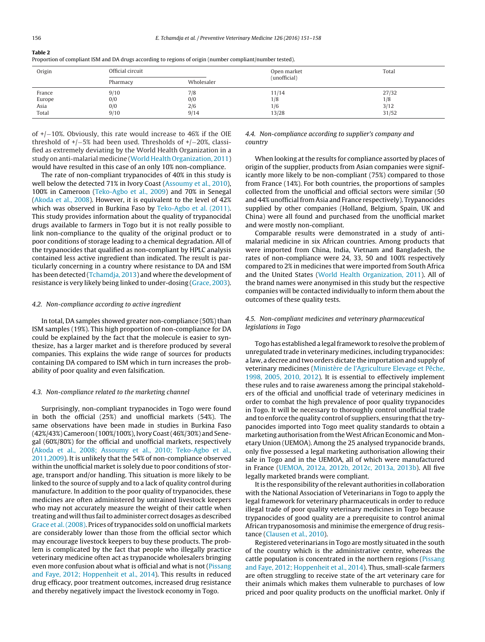<span id="page-5-0"></span>

| Proportion of compliant ISM and DA drugs according to regions of origin (number compliant/number tested). |  |
|-----------------------------------------------------------------------------------------------------------|--|

| Origin | Official circuit |            | Open market<br>(unofficial) | Total |
|--------|------------------|------------|-----------------------------|-------|
|        | Pharmacy         | Wholesaler |                             |       |
| France | 9/10             | 7/8        | 11/14                       | 27/32 |
| Europe | 0/0              | 0/0        | 1/8                         | 1/8   |
| Asia   | 0/0              | 2/6        | 1/6                         | 3/12  |
| Total  | 9/10             | 9/14       | 13/28                       | 31/52 |

of +/−10%. Obviously, this rate would increase to 46% if the OIE threshold of +/−5% had been used. Thresholds of +/−20%, classified as extremely deviating by the World Health Organization in a study on anti-malarial medicine [\(World](#page-7-0) [Health](#page-7-0) [Organization,](#page-7-0) [2011\)](#page-7-0) would have resulted in this case of an only 10% non-compliance.

The rate of non-compliant trypanocides of 40% in this study is well below the detected 71% in Ivory Coast [\(Assoumy](#page-6-0) et [al.,](#page-6-0) [2010\),](#page-6-0) 100% in Cameroon ([Teko-Agbo](#page-7-0) et [al.,](#page-7-0) [2009\)](#page-7-0) and 70% in Senegal ([Akoda](#page-6-0) et [al.,](#page-6-0) [2008\).](#page-6-0) However, it is equivalent to the level of 42% which was observed in Burkina Faso by [Teko-Agbo](#page-7-0) et [al.](#page-7-0) [\(2011\).](#page-7-0) This study provides information about the quality of trypanocidal drugs available to farmers in Togo but it is not really possible to link non-compliance to the quality of the original product or to poor conditions of storage leading to a chemical degradation. All of the trypanocides that qualified as non-compliant by HPLC analysis contained less active ingredient than indicated. The result is particularly concerning in a country where resistance to DA and ISM has been detected [\(Tchamdja,](#page-7-0) [2013\)](#page-7-0) and where the development of resistance is very likely being linked to under-dosing ([Grace,](#page-6-0) [2003\).](#page-6-0)

# 4.2. Non-compliance according to active ingredient

In total, DA samples showed greater non-compliance (50%) than ISM samples (19%). This high proportion of non-compliance for DA could be explained by the fact that the molecule is easier to synthesize, has a larger market and is therefore produced by several companies. This explains the wide range of sources for products containing DA compared to ISM which in turn increases the probability of poor quality and even falsification.

# 4.3. Non-compliance related to the marketing channel

Surprisingly, non-compliant trypanocides in Togo were found in both the official (25%) and unofficial markets (54%). The same observations have been made in studies in Burkina Faso (42%/43%) Cameroon (100%/100%), Ivory Coast(46%/30%) and Senegal (60%/80%) for the official and unofficial markets, respectively ([Akoda](#page-6-0) et [al.,](#page-6-0) [2008;](#page-6-0) [Assoumy](#page-6-0) et [al.,](#page-6-0) [2010;](#page-6-0) [Teko-Agbo](#page-6-0) et [al.,](#page-6-0) [2011,2009\).](#page-6-0) It is unlikely that the 54% of non-compliance observed within the unofficial market is solely due to poor conditions of storage, transport and/or handling. This situation is more likely to be linked to the source of supply and to a lack of quality control during manufacture. In addition to the poor quality of trypanocides, these medicines are often administered by untrained livestock keepers who may not accurately measure the weight of their cattle when treating and willthus failto administer correct dosages as described [Grace](#page-6-0) et al. (2008). Prices of trypanocides sold on unofficial markets are considerably lower than those from the official sector which may encourage livestock keepers to buy these products. The problem is complicated by the fact that people who illegally practice veterinary medicine often act as trypanocide wholesalers bringing even more confusion about what is official and what is not [\(Pissang](#page-6-0) [and](#page-6-0) [Faye,](#page-6-0) [2012;](#page-6-0) [Hoppenheit](#page-6-0) et [al.,](#page-6-0) [2014\).](#page-6-0) This results in reduced drug efficacy, poor treatment outcomes, increased drug resistance and thereby negatively impact the livestock economy in Togo.

4.4. Non-compliance according to supplier's company and country

When looking at the results for compliance assorted by places of origin of the supplier, products from Asian companies were significantly more likely to be non-compliant (75%) compared to those from France (14%). For both countries, the proportions of samples collected from the unofficial and official sectors were similar (50 and 44% unofficial from Asia and France respectively). Trypanocides supplied by other companies (Holland, Belgium, Spain, UK and China) were all found and purchased from the unofficial market and were mostly non-compliant.

Comparable results were demonstrated in a study of antimalarial medicine in six African countries. Among products that were imported from China, India, Vietnam and Bangladesh, the rates of non-compliance were 24, 33, 50 and 100% respectively compared to 2% in medicines that were imported from South Africa and the United States [\(World](#page-7-0) [Health](#page-7-0) [Organization,](#page-7-0) [2011\).](#page-7-0) All of the brand names were anonymised in this study but the respective companies will be contacted individually to inform them about the outcomes of these quality tests.

# 4.5. Non-compliant medicines and veterinary pharmaceutical legislations in Togo

Togo has established a legal framework to resolve the problem of unregulated trade in veterinary medicines, including trypanocides: a law, a decree and two orders dictate the importation and supply of veterinary medicines [\(Ministère](#page-6-0) [de](#page-6-0) [l'Agriculture](#page-6-0) [Elevage](#page-6-0) [et](#page-6-0) [Pêche,](#page-6-0) [1998,](#page-6-0) [2005,](#page-6-0) [2010,](#page-6-0) [2012\).](#page-6-0) It is essential to effectively implement these rules and to raise awareness among the principal stakeholders of the official and unofficial trade of veterinary medicines in order to combat the high prevalence of poor quality trypanocides in Togo. It will be necessary to thoroughly control unofficial trade and to enforce the quality control of suppliers, ensuring that the trypanocides imported into Togo meet quality standards to obtain a marketing authorisation from theWestAfrican Economic and Monetary Union (UEMOA). Among the 25 analysed trypanocide brands, only five possessed a legal marketing authorisation allowing their sale in Togo and in the UEMOA, all of which were manufactured in France ([UEMOA,](#page-7-0) [2012a,](#page-7-0) [2012b,](#page-7-0) [2012c,](#page-7-0) [2013a,](#page-7-0) [2013b\).](#page-7-0) All five legally marketed brands were compliant.

It is the responsibility of the relevant authorities in collaboration with the National Association of Veterinarians in Togo to apply the legal framework for veterinary pharmaceuticals in order to reduce illegal trade of poor quality veterinary medicines in Togo because trypanocides of good quality are a prerequisite to control animal African trypanosomosis and minimise the emergence of drug resistance [\(Clausen](#page-6-0) et [al.,](#page-6-0) [2010\).](#page-6-0)

Registered veterinarians in Togo are mostly situated in the south of the country which is the administrative centre, whereas the cattle population is concentrated in the northern regions ([Pissang](#page-6-0) [and](#page-6-0) [Faye,](#page-6-0) [2012;](#page-6-0) [Hoppenheit](#page-6-0) et [al.,](#page-6-0) [2014\).](#page-6-0) Thus, small-scale farmers are often struggling to receive state of the art veterinary care for their animals which makes them vulnerable to purchases of low priced and poor quality products on the unofficial market. Only if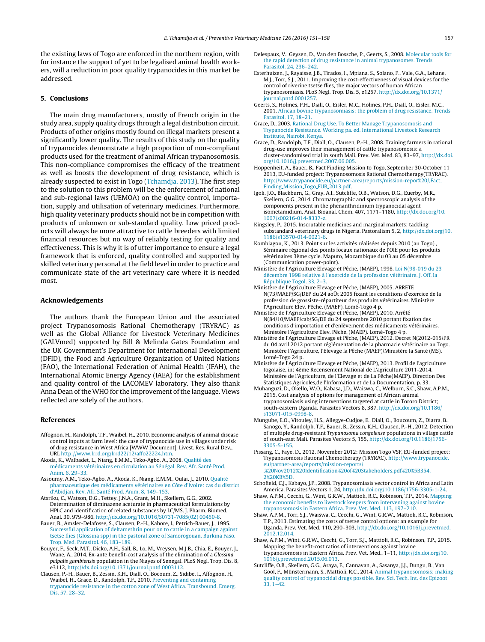<span id="page-6-0"></span>the existing laws of Togo are enforced in the northern region, with for instance the support of yet to be legalised animal health workers, will a reduction in poor quality trypanocides in this market be addressed.

# **5. Conclusions**

The main drug manufacturers, mostly of French origin in the study area, supply quality drugs through a legal distribution circuit. Products of other origins mostly found on illegal markets present a significantly lower quality. The results of this study on the quality of trypanocides demonstrate a high proportion of non-compliant products used for the treatment of animal African trypanosomosis. This non-compliance compromises the efficacy of the treatment as well as boosts the development of drug resistance, which is already suspected to exist in Togo ([Tchamdja,](#page-7-0) [2013\).](#page-7-0) The first step to the solution to this problem will be the enforcement of national and sub-regional laws (UEMOA) on the quality control, importation, supply and utilisation of veterinary medicines. Furthermore, high quality veterinary products should not be in competition with products of unknown or sub-standard quality. Low priced products will always be more attractive to cattle breeders with limited financial resources but no way of reliably testing for quality and effectiveness. This is why it is of utter importance to ensure a legal framework that is enforced, quality controlled and supported by skilled veterinary personal at the field level in order to practice and communicate state of the art veterinary care where it is needed most.

# **Acknowledgements**

The authors thank the European Union and the associated project Trypanosomosis Rational Chemotherapy (TRYRAC) as well as the Global Alliance for Livestock Veterinary Medicines (GALVmed) supported by Bill & Melinda Gates Foundation and the UK Government's Department for International Development (DFID), the Food and Agriculture Organization of United Nations (FAO), the International Federation of Animal Health (IFAH), the International Atomic Energy Agency (IAEA) for the establishment and quality control of the LACOMEV laboratory. They also thank Anna Dean of the WHO for the improvement of the language. Views reflected are solely of the authors.

## **References**

- Affognon, H., Randolph, T.F., Waibel, H., 2010. Economic analysis of animal disease control inputs at farm level: the case of trypanocide use in villages under risk of drug resistance in West Africa [WWW Document]. Livest. Res. Rural Dev., URL [http://www.lrrd.org/lrrd22/12/affo22224.htm.](http://www.lrrd.org/lrrd22/12/affo22224.htm)
- Akoda, K., Walbadet, L., Niang, E.M.M., Teko-Agbo, A., 2008. [Qualité](http://refhub.elsevier.com/S0167-5877(16)30052-6/sbref0010) [des](http://refhub.elsevier.com/S0167-5877(16)30052-6/sbref0010) [médicaments](http://refhub.elsevier.com/S0167-5877(16)30052-6/sbref0010) [vétérinaires](http://refhub.elsevier.com/S0167-5877(16)30052-6/sbref0010) [en](http://refhub.elsevier.com/S0167-5877(16)30052-6/sbref0010) [circulation](http://refhub.elsevier.com/S0167-5877(16)30052-6/sbref0010) [au](http://refhub.elsevier.com/S0167-5877(16)30052-6/sbref0010) [Sénégal.](http://refhub.elsevier.com/S0167-5877(16)30052-6/sbref0010) [Rev.](http://refhub.elsevier.com/S0167-5877(16)30052-6/sbref0010) [Afr.](http://refhub.elsevier.com/S0167-5877(16)30052-6/sbref0010) [Santé](http://refhub.elsevier.com/S0167-5877(16)30052-6/sbref0010) [Prod.](http://refhub.elsevier.com/S0167-5877(16)30052-6/sbref0010) [Anim.](http://refhub.elsevier.com/S0167-5877(16)30052-6/sbref0010) [6,](http://refhub.elsevier.com/S0167-5877(16)30052-6/sbref0010) [29–33.](http://refhub.elsevier.com/S0167-5877(16)30052-6/sbref0010)
- Assoumy, A.M., Teko-Agbo, A., Akoda, K., Niang, E.M.M., Oulai, J., 2010. [Qualité](http://refhub.elsevier.com/S0167-5877(16)30052-6/sbref0015) [pharmaceutique](http://refhub.elsevier.com/S0167-5877(16)30052-6/sbref0015) [des](http://refhub.elsevier.com/S0167-5877(16)30052-6/sbref0015) [médicaments](http://refhub.elsevier.com/S0167-5877(16)30052-6/sbref0015) [vétérinaires](http://refhub.elsevier.com/S0167-5877(16)30052-6/sbref0015) [en](http://refhub.elsevier.com/S0167-5877(16)30052-6/sbref0015) [Côte](http://refhub.elsevier.com/S0167-5877(16)30052-6/sbref0015) [d'Ivoire:](http://refhub.elsevier.com/S0167-5877(16)30052-6/sbref0015) [cas](http://refhub.elsevier.com/S0167-5877(16)30052-6/sbref0015) [du](http://refhub.elsevier.com/S0167-5877(16)30052-6/sbref0015) [district](http://refhub.elsevier.com/S0167-5877(16)30052-6/sbref0015) [d'Abidjan.](http://refhub.elsevier.com/S0167-5877(16)30052-6/sbref0015) [Rev.](http://refhub.elsevier.com/S0167-5877(16)30052-6/sbref0015) [Afr.](http://refhub.elsevier.com/S0167-5877(16)30052-6/sbref0015) [Santé](http://refhub.elsevier.com/S0167-5877(16)30052-6/sbref0015) [Prod.](http://refhub.elsevier.com/S0167-5877(16)30052-6/sbref0015) [Anim.](http://refhub.elsevier.com/S0167-5877(16)30052-6/sbref0015) [8,](http://refhub.elsevier.com/S0167-5877(16)30052-6/sbref0015) [149–153.](http://refhub.elsevier.com/S0167-5877(16)30052-6/sbref0015)
- Atsriku, C., Watson, D.G., Tettey, J.N.A., Grant, M.H., Skellern, G.G., 2002. Determination of diminazene aceturate in pharmaceutical formulations by HPLC and identification of related substances by LC/MS. J. Pharm. Biomed. Anal. 30, 979–986, [http://dx.doi.org/10.1016/S0731-7085\(02\)](dx.doi.org/10.1016/S0731-7085(02) 00450-8) 00450[-8](dx.doi.org/10.1016/S0731-7085(02) 00450-8).
- Bauer, B., Amsler-Delafosse, S., Clausen, P.-H., Kabore, I., Petrich-Bauer, J., 1995. [Successful](http://refhub.elsevier.com/S0167-5877(16)30052-6/sbref0025) [application](http://refhub.elsevier.com/S0167-5877(16)30052-6/sbref0025) [of](http://refhub.elsevier.com/S0167-5877(16)30052-6/sbref0025) [deltamethrin](http://refhub.elsevier.com/S0167-5877(16)30052-6/sbref0025) [pour](http://refhub.elsevier.com/S0167-5877(16)30052-6/sbref0025) [on](http://refhub.elsevier.com/S0167-5877(16)30052-6/sbref0025) [to](http://refhub.elsevier.com/S0167-5877(16)30052-6/sbref0025) [cattle](http://refhub.elsevier.com/S0167-5877(16)30052-6/sbref0025) [in](http://refhub.elsevier.com/S0167-5877(16)30052-6/sbref0025) [a](http://refhub.elsevier.com/S0167-5877(16)30052-6/sbref0025) [campaign](http://refhub.elsevier.com/S0167-5877(16)30052-6/sbref0025) [against](http://refhub.elsevier.com/S0167-5877(16)30052-6/sbref0025) [tsetse](http://refhub.elsevier.com/S0167-5877(16)30052-6/sbref0025) [flies](http://refhub.elsevier.com/S0167-5877(16)30052-6/sbref0025) [\(Glossina](http://refhub.elsevier.com/S0167-5877(16)30052-6/sbref0025) [spp\)](http://refhub.elsevier.com/S0167-5877(16)30052-6/sbref0025) [in](http://refhub.elsevier.com/S0167-5877(16)30052-6/sbref0025) [the](http://refhub.elsevier.com/S0167-5877(16)30052-6/sbref0025) [pastoral](http://refhub.elsevier.com/S0167-5877(16)30052-6/sbref0025) [zone](http://refhub.elsevier.com/S0167-5877(16)30052-6/sbref0025) [of](http://refhub.elsevier.com/S0167-5877(16)30052-6/sbref0025) [Samorogouan.](http://refhub.elsevier.com/S0167-5877(16)30052-6/sbref0025) [Burkina](http://refhub.elsevier.com/S0167-5877(16)30052-6/sbref0025) [Faso.](http://refhub.elsevier.com/S0167-5877(16)30052-6/sbref0025) [Trop.](http://refhub.elsevier.com/S0167-5877(16)30052-6/sbref0025) [Med.](http://refhub.elsevier.com/S0167-5877(16)30052-6/sbref0025) [Parasitol.](http://refhub.elsevier.com/S0167-5877(16)30052-6/sbref0025) [46,](http://refhub.elsevier.com/S0167-5877(16)30052-6/sbref0025) [183](http://refhub.elsevier.com/S0167-5877(16)30052-6/sbref0025)–[189.](http://refhub.elsevier.com/S0167-5877(16)30052-6/sbref0025)
- Bouyer, F., Seck, M.T., Dicko, A.H., Sall, B., Lo, M., Vreysen, M.J.B., Chia, E., Bouyer, J., Wane, A., 2014. Ex-ante benefit-cost analysis of the elimination of a Glossina palpalis gambiensis population in the Niayes of Senegal. PLoS Negl. Trop. Dis. 8, e3112, [http://dx.doi.org/10.1371/journal.pntd.0003112.](dx.doi.org/10.1371/journal.pntd.0003112)
- Clausen, P.-H., Bauer, B., Zessin, K.H., Diall, O., Bocoum, Z., Sidibe, I., Affognon, H., Waibel, H., Grace, D., Randolph, T.F., 2010. [Preventing](http://refhub.elsevier.com/S0167-5877(16)30052-6/sbref0035) [and](http://refhub.elsevier.com/S0167-5877(16)30052-6/sbref0035) [containing](http://refhub.elsevier.com/S0167-5877(16)30052-6/sbref0035) [trypanocide](http://refhub.elsevier.com/S0167-5877(16)30052-6/sbref0035) [resistance](http://refhub.elsevier.com/S0167-5877(16)30052-6/sbref0035) [in](http://refhub.elsevier.com/S0167-5877(16)30052-6/sbref0035) [the](http://refhub.elsevier.com/S0167-5877(16)30052-6/sbref0035) [cotton](http://refhub.elsevier.com/S0167-5877(16)30052-6/sbref0035) [zone](http://refhub.elsevier.com/S0167-5877(16)30052-6/sbref0035) [of](http://refhub.elsevier.com/S0167-5877(16)30052-6/sbref0035) [West](http://refhub.elsevier.com/S0167-5877(16)30052-6/sbref0035) [Africa.](http://refhub.elsevier.com/S0167-5877(16)30052-6/sbref0035) [Transbound.](http://refhub.elsevier.com/S0167-5877(16)30052-6/sbref0035) [Emerg.](http://refhub.elsevier.com/S0167-5877(16)30052-6/sbref0035) [Dis.](http://refhub.elsevier.com/S0167-5877(16)30052-6/sbref0035) [57,](http://refhub.elsevier.com/S0167-5877(16)30052-6/sbref0035) [28–32.](http://refhub.elsevier.com/S0167-5877(16)30052-6/sbref0035)
- Delespaux, V., Geysen, D., Van den Bossche, P., Geerts, S., 2008. [Molecular](http://refhub.elsevier.com/S0167-5877(16)30052-6/sbref0040) [tools](http://refhub.elsevier.com/S0167-5877(16)30052-6/sbref0040) [for](http://refhub.elsevier.com/S0167-5877(16)30052-6/sbref0040) [the](http://refhub.elsevier.com/S0167-5877(16)30052-6/sbref0040) [rapid](http://refhub.elsevier.com/S0167-5877(16)30052-6/sbref0040) [detection](http://refhub.elsevier.com/S0167-5877(16)30052-6/sbref0040) [of](http://refhub.elsevier.com/S0167-5877(16)30052-6/sbref0040) [drug](http://refhub.elsevier.com/S0167-5877(16)30052-6/sbref0040) [resistance](http://refhub.elsevier.com/S0167-5877(16)30052-6/sbref0040) [in](http://refhub.elsevier.com/S0167-5877(16)30052-6/sbref0040) [animal](http://refhub.elsevier.com/S0167-5877(16)30052-6/sbref0040) [trypanosomes.](http://refhub.elsevier.com/S0167-5877(16)30052-6/sbref0040) [Trends](http://refhub.elsevier.com/S0167-5877(16)30052-6/sbref0040) [Parasitol.](http://refhub.elsevier.com/S0167-5877(16)30052-6/sbref0040) [24,](http://refhub.elsevier.com/S0167-5877(16)30052-6/sbref0040) [236–242.](http://refhub.elsevier.com/S0167-5877(16)30052-6/sbref0040)
- Esterhuizen, J., Rayaisse, J.B., Tirados, I., Mpiana, S., Solano, P., Vale, G.A., Lehane, M.J., Torr, S.J., 2011. Improving the cost-effectiveness of visual devices for the control of riverine tsetse flies, the major vectors of human African trypanosomiasis. PLoS Negl. Trop. Dis. 5, e1257, [http://dx.doi.org/10.1371/](dx.doi.org/10.1371/journal.pntd.0001257) [journal.pntd.0001257](dx.doi.org/10.1371/journal.pntd.0001257)
- Geerts, S., Holmes, P.H., Diall, O., Eisler, M.C., Holmes, P.H., Diall, O., Eisler, M.C., 2001. [African](http://refhub.elsevier.com/S0167-5877(16)30052-6/sbref0050) [bovine](http://refhub.elsevier.com/S0167-5877(16)30052-6/sbref0050) [trypanosomiasis:](http://refhub.elsevier.com/S0167-5877(16)30052-6/sbref0050) [the](http://refhub.elsevier.com/S0167-5877(16)30052-6/sbref0050) [problem](http://refhub.elsevier.com/S0167-5877(16)30052-6/sbref0050) [of](http://refhub.elsevier.com/S0167-5877(16)30052-6/sbref0050) [drug](http://refhub.elsevier.com/S0167-5877(16)30052-6/sbref0050) [resistance.](http://refhub.elsevier.com/S0167-5877(16)30052-6/sbref0050) [Trends](http://refhub.elsevier.com/S0167-5877(16)30052-6/sbref0050) [Parasitol.](http://refhub.elsevier.com/S0167-5877(16)30052-6/sbref0050) [17,](http://refhub.elsevier.com/S0167-5877(16)30052-6/sbref0050) [18–21.](http://refhub.elsevier.com/S0167-5877(16)30052-6/sbref0050)
- Grace, D., 2003. [Rational](http://refhub.elsevier.com/S0167-5877(16)30052-6/sbref0055) [Drug](http://refhub.elsevier.com/S0167-5877(16)30052-6/sbref0055) [Use.](http://refhub.elsevier.com/S0167-5877(16)30052-6/sbref0055) [To](http://refhub.elsevier.com/S0167-5877(16)30052-6/sbref0055) [Better](http://refhub.elsevier.com/S0167-5877(16)30052-6/sbref0055) [Manage](http://refhub.elsevier.com/S0167-5877(16)30052-6/sbref0055) [Trypanosomosis](http://refhub.elsevier.com/S0167-5877(16)30052-6/sbref0055) [and](http://refhub.elsevier.com/S0167-5877(16)30052-6/sbref0055) [Trypanocide](http://refhub.elsevier.com/S0167-5877(16)30052-6/sbref0055) [Resistance.](http://refhub.elsevier.com/S0167-5877(16)30052-6/sbref0055) [Working](http://refhub.elsevier.com/S0167-5877(16)30052-6/sbref0055) [pa.](http://refhub.elsevier.com/S0167-5877(16)30052-6/sbref0055) [ed.](http://refhub.elsevier.com/S0167-5877(16)30052-6/sbref0055) [International](http://refhub.elsevier.com/S0167-5877(16)30052-6/sbref0055) [Livestock](http://refhub.elsevier.com/S0167-5877(16)30052-6/sbref0055) [Research](http://refhub.elsevier.com/S0167-5877(16)30052-6/sbref0055) [Institute,](http://refhub.elsevier.com/S0167-5877(16)30052-6/sbref0055) [Nairobi,](http://refhub.elsevier.com/S0167-5877(16)30052-6/sbref0055) [Kenya.](http://refhub.elsevier.com/S0167-5877(16)30052-6/sbref0055)
- Grace, D., Randolph, T.F., Diall, O., Clausen, P.-H., 2008. Training farmers in rational drug-use improves their management of cattle trypanosomosis: a cluster-randomised trial in south Mali. Prev. Vet. Med. 83, 83–97, [http://dx.doi.](dx.doi.org/10.1016/j.prevetmed.2007.06.005) [org/10.1016/j.prevetmed.2007.06.005.](dx.doi.org/10.1016/j.prevetmed.2007.06.005)
- Hoppenheit, A., Bauer, B., Fact Finding Mission to Togo, September 30-October 11 2013, EU-funded project: Trypanosomosis Rational Chemotherapy(TRYRAC). [http://www.trypanocide.eu/partner-area/reports/mission-repor%20/,Fact](http://www.trypanocide.eu/partner-area/reports/mission-repor /,Fact_Finding_Mission_Togo_FUB_2013.pdf) [Finding](http://www.trypanocide.eu/partner-area/reports/mission-repor /,Fact_Finding_Mission_Togo_FUB_2013.pdf) [Mission](http://www.trypanocide.eu/partner-area/reports/mission-repor /,Fact_Finding_Mission_Togo_FUB_2013.pdf) [Togo](http://www.trypanocide.eu/partner-area/reports/mission-repor /,Fact_Finding_Mission_Togo_FUB_2013.pdf) [FUB](http://www.trypanocide.eu/partner-area/reports/mission-repor /,Fact_Finding_Mission_Togo_FUB_2013.pdf) [2013.pdf](http://www.trypanocide.eu/partner-area/reports/mission-repor /,Fact_Finding_Mission_Togo_FUB_2013.pdf).
- Igoli, J.O., Blackburn, G., Gray, A.I., Sutcliffe, O.B., Watson, D.G., Euerby, M.R., Skellern, G.G., 2014. Chromatographic and spectroscopic analysis of the components present in the phenanthridinium trypanocidal agent isometamidium. Anal. Bioanal. Chem. 407, 1171–1180, [http://dx.doi.org/10.](dx.doi.org/10.1007/s00216-014-8337-z) [1007/s00216-014-8337-z](dx.doi.org/10.1007/s00216-014-8337-z).
- Kingsley, P., 2015. Inscrutable medicines and marginal markets: tackling substandard veterinary drugs in Nigeria. Pastoralism 5, 2, [http://dx.doi.org/10.](dx.doi.org/10.1186/s13570-014-0021-6) [1186/s13570-014-0021-6.](dx.doi.org/10.1186/s13570-014-0021-6)
- Kombiagou, K., 2013. Point sur les activités réalisées depuis 2010 (au Togo)., Séminaire régional des points focaux nationaux de l'OIE pour les produits vétérinaires 3ème cycle. Maputo, Mozambique du 03 au 05 décembre (Communication power-point).
- Ministère de l'Agriculture Elevage et Pêche, (MAEP), 1998. [Loi](http://refhub.elsevier.com/S0167-5877(16)30052-6/sbref0085) [N\(98-019](http://refhub.elsevier.com/S0167-5877(16)30052-6/sbref0085) [du](http://refhub.elsevier.com/S0167-5877(16)30052-6/sbref0085) [23](http://refhub.elsevier.com/S0167-5877(16)30052-6/sbref0085) [décembre](http://refhub.elsevier.com/S0167-5877(16)30052-6/sbref0085) [1998](http://refhub.elsevier.com/S0167-5877(16)30052-6/sbref0085) [relative](http://refhub.elsevier.com/S0167-5877(16)30052-6/sbref0085) [à](http://refhub.elsevier.com/S0167-5877(16)30052-6/sbref0085) [l'exercide](http://refhub.elsevier.com/S0167-5877(16)30052-6/sbref0085) [de](http://refhub.elsevier.com/S0167-5877(16)30052-6/sbref0085) [la](http://refhub.elsevier.com/S0167-5877(16)30052-6/sbref0085) [profession](http://refhub.elsevier.com/S0167-5877(16)30052-6/sbref0085) [vétérinaire.](http://refhub.elsevier.com/S0167-5877(16)30052-6/sbref0085) [J.](http://refhub.elsevier.com/S0167-5877(16)30052-6/sbref0085) [Off.](http://refhub.elsevier.com/S0167-5877(16)30052-6/sbref0085) [la](http://refhub.elsevier.com/S0167-5877(16)30052-6/sbref0085) [République](http://refhub.elsevier.com/S0167-5877(16)30052-6/sbref0085) [Togol.](http://refhub.elsevier.com/S0167-5877(16)30052-6/sbref0085) [33,](http://refhub.elsevier.com/S0167-5877(16)30052-6/sbref0085) [2–3.](http://refhub.elsevier.com/S0167-5877(16)30052-6/sbref0085)
- Ministère de l'Agriculture Elevage et Pêche, (MAEP), 2005. ARRETE N(73/MAEP/SG/DEP du 24 aoÛt 2005 fixant les conditions d'exercice de la profession de grossiste-répartiteur des produits vétérinaires. Ministère l'Agriculture Elev. Pêche, (MAEP). Lomé-Togo 4 p.
- Ministère de l'Agriculture Elevage et Pêche, (MAEP), 2010. Arrêté N(84/10/MAEP/cab/SG/DE du 24 septembre 2010 portant fixation des conditions d'importation et d'enlèvement des médicaments vétérinaires. Ministère l'Agriculture Elev. Pêche, (MAEP). Lomé-Togo 4 p.
- Ministère de l'Agriculture Elevage et Pêche, (MAEP), 2012. Decret N(2012-015/PR du 04 avril 2012 portant réglémentation de la pharmacie vétérinaire au Togo. Ministère l'Agriculture, l'Elevage la Pêche (MAEP)/Ministère la Santé (MS). Lomé-Togo 24 p.
- Ministère de l'Agriculture Elevage et Pêche, (MAEP), 2013. Profil de l'agriculture togolaise, in: 4ème Recensement National de L'agriculture 2011-2014. Ministère de l'Agriculture, de l'Elevage et de La Pêche(MAEP). Direction Des Statistiques Agricoles,de l'Information et de La Documentation. p. 33.
- Muhanguzi, D., Okello, W.O., Kabasa, J.D., Waiswa, C., Welburn, S.C., Shaw, A.P.M., 2015. Cost analysis of options for management of African animal trypanosomiasis using interventions targeted at cattle in Tororo District; south-eastern Uganda. Parasites Vectors 8, 387, [http://dx.doi.org/10.1186/](dx.doi.org/10.1186/s13071-015-0998-8) [s13071-015-0998-8](dx.doi.org/10.1186/s13071-015-0998-8).
- Mungube, E.O., Vitouley, H.S., Allegye-Cudjoe, E., Diall, O., Boucoum, Z., Diarra, B., Sanogo, Y., Randolph, T.F., Bauer, B., Zessin, K.H., Clausen, P.-H., 2012. Detection of multiple drug-resistant Trypanosoma congolense populations in village cattle of south-east Mali. Parasites Vectors 5, 155, [http://dx.doi.org/10.1186/1756-](dx.doi.org/10.1186/1756-3305-5-155) [3305-5-155](dx.doi.org/10.1186/1756-3305-5-155).
- Pissang, C., Faye, D., 2012. November 2012: Mission Togo VSF, EU-funded project: Trypanosomosis Rational Chemotherapy (TRYRAC). [http://www.trypanocide.](http://www.trypanocide.eu/partner-area/reports/mission-reports/, Nov2012 Identification of Stakeholders.pdf [354.2 KB]) [eu/partner-area/reports/mission-reports/](http://www.trypanocide.eu/partner-area/reports/mission-reports/, Nov2012 Identification of Stakeholders.pdf [354.2 KB]) [,%20Nov2012%20Identification%20of%20Stakeholders.pdf%20%5B354.](http://www.trypanocide.eu/partner-area/reports/mission-reports/, Nov2012 Identification of Stakeholders.pdf [354.2 KB]) [2%20KB%5D.](http://www.trypanocide.eu/partner-area/reports/mission-reports/, Nov2012 Identification of Stakeholders.pdf [354.2 KB])
- Schofield, C.J., Kabayo, J.P., 2008. Trypanosomiasis vector control in Africa and Latin America. Parasites Vectors 1, 24, [http://dx.doi.org/10.1186/1756-3305-1-24](dx.doi.org/10.1186/1756-3305-1-24).
- Shaw, A.P.M., Cecchi, G., Wint, G.R.W., Mattioli, R.C., Robinson, T.P., 2014. [Mapping](http://refhub.elsevier.com/S0167-5877(16)30052-6/sbref0130) [the](http://refhub.elsevier.com/S0167-5877(16)30052-6/sbref0130) [economic](http://refhub.elsevier.com/S0167-5877(16)30052-6/sbref0130) [benefits](http://refhub.elsevier.com/S0167-5877(16)30052-6/sbref0130) [to](http://refhub.elsevier.com/S0167-5877(16)30052-6/sbref0130) [livestock](http://refhub.elsevier.com/S0167-5877(16)30052-6/sbref0130) [keepers](http://refhub.elsevier.com/S0167-5877(16)30052-6/sbref0130) [from](http://refhub.elsevier.com/S0167-5877(16)30052-6/sbref0130) [intervening](http://refhub.elsevier.com/S0167-5877(16)30052-6/sbref0130) [against](http://refhub.elsevier.com/S0167-5877(16)30052-6/sbref0130) [bovine](http://refhub.elsevier.com/S0167-5877(16)30052-6/sbref0130) [trypanosomosis](http://refhub.elsevier.com/S0167-5877(16)30052-6/sbref0130) [in](http://refhub.elsevier.com/S0167-5877(16)30052-6/sbref0130) [Eastern](http://refhub.elsevier.com/S0167-5877(16)30052-6/sbref0130) [Africa.](http://refhub.elsevier.com/S0167-5877(16)30052-6/sbref0130) [Prev.](http://refhub.elsevier.com/S0167-5877(16)30052-6/sbref0130) [Vet.](http://refhub.elsevier.com/S0167-5877(16)30052-6/sbref0130) [Med.](http://refhub.elsevier.com/S0167-5877(16)30052-6/sbref0130) [113,](http://refhub.elsevier.com/S0167-5877(16)30052-6/sbref0130) [197](http://refhub.elsevier.com/S0167-5877(16)30052-6/sbref0130)–[210.](http://refhub.elsevier.com/S0167-5877(16)30052-6/sbref0130)
- Shaw, A.P.M., Torr, S.J., Waiswa, C., Cecchi, G., Wint, G.R.W., Mattioli, R.C., Robinson, T.P., 2013. Estimating the costs of tsetse control options: an example for Uganda. Prev. Vet. Med. 110, 290–303, [http://dx.doi.org/10.1016/j.prevetmed.](dx.doi.org/10.1016/j.prevetmed.2012.12.014) [2012.12.014.](dx.doi.org/10.1016/j.prevetmed.2012.12.014)
- Shaw, A.P.M., Wint, G.R.W., Cecchi, G., Torr, S.J., Mattioli, R.C., Robinson, T.P., 2015. Mapping the benefit-cost ratios of interventions against bovine trypanosomosis in Eastern Africa. Prev. Vet. Med., 1-11, [http://dx.doi.org/10.](dx.doi.org/10.1016/j.prevetmed.2015.06.013) [1016/j.prevetmed.2015.06.013.](dx.doi.org/10.1016/j.prevetmed.2015.06.013)
- Sutcliffe, O.B., Skellern, G.G., Araya, F., Cannavan, A., Sasanya, J.J., Dungu, B., Van Gool, F., Münstermann, S., Mattioli, R.C., 2014. [Animal](http://refhub.elsevier.com/S0167-5877(16)30052-6/sbref0145) [trypanosomosis:](http://refhub.elsevier.com/S0167-5877(16)30052-6/sbref0145) [making](http://refhub.elsevier.com/S0167-5877(16)30052-6/sbref0145) [quality](http://refhub.elsevier.com/S0167-5877(16)30052-6/sbref0145) [control](http://refhub.elsevier.com/S0167-5877(16)30052-6/sbref0145) [of](http://refhub.elsevier.com/S0167-5877(16)30052-6/sbref0145) [trypanocidal](http://refhub.elsevier.com/S0167-5877(16)30052-6/sbref0145) [drugs](http://refhub.elsevier.com/S0167-5877(16)30052-6/sbref0145) [possible.](http://refhub.elsevier.com/S0167-5877(16)30052-6/sbref0145) [Rev.](http://refhub.elsevier.com/S0167-5877(16)30052-6/sbref0145) [Sci.](http://refhub.elsevier.com/S0167-5877(16)30052-6/sbref0145) [Tech.](http://refhub.elsevier.com/S0167-5877(16)30052-6/sbref0145) [Int.](http://refhub.elsevier.com/S0167-5877(16)30052-6/sbref0145) [des](http://refhub.elsevier.com/S0167-5877(16)30052-6/sbref0145) [Epizoot](http://refhub.elsevier.com/S0167-5877(16)30052-6/sbref0145) [33,](http://refhub.elsevier.com/S0167-5877(16)30052-6/sbref0145) [1–42.](http://refhub.elsevier.com/S0167-5877(16)30052-6/sbref0145)